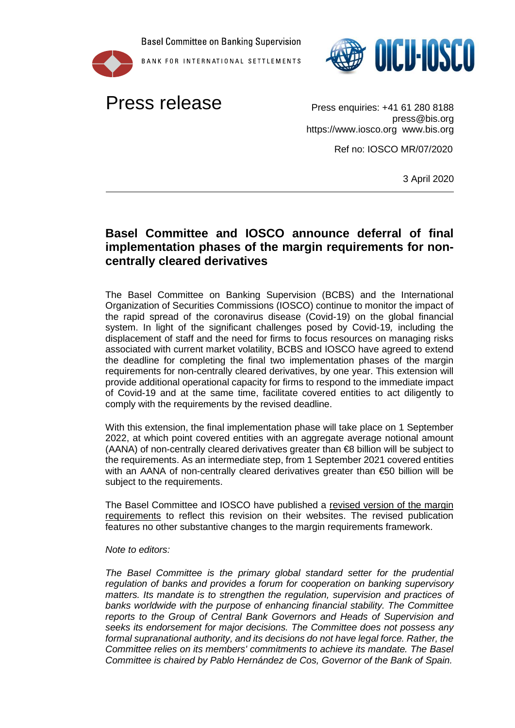**Basel Committee on Banking Supervision** 







press@bis.org https://www.iosco.org www.bis.org

Ref no: IOSCO MR/07/2020

3 April 2020

## **Basel Committee and IOSCO announce deferral of final implementation phases of the margin requirements for noncentrally cleared derivatives**

The Basel Committee on Banking Supervision (BCBS) and the International Organization of Securities Commissions (IOSCO) continue to monitor the impact of the rapid spread of the coronavirus disease (Covid-19) on the global financial system. In light of the significant challenges posed by Covid-19*,* including the displacement of staff and the need for firms to focus resources on managing risks associated with current market volatility, BCBS and IOSCO have agreed to extend the deadline for completing the final two implementation phases of the margin requirements for non-centrally cleared derivatives, by one year. This extension will provide additional operational capacity for firms to respond to the immediate impact of Covid-19 and at the same time, facilitate covered entities to act diligently to comply with the requirements by the revised deadline.

With this extension, the final implementation phase will take place on 1 September 2022, at which point covered entities with an aggregate average notional amount (AANA) of non-centrally cleared derivatives greater than €8 billion will be subject to the requirements. As an intermediate step, from 1 September 2021 covered entities with an AANA of non-centrally cleared derivatives greater than €50 billion will be subject to the requirements.

The Basel Committee and IOSCO have published a [revised version of the margin](https://www.iosco.org/library/pubdocs/pdf/IOSCOPD651.pdf)  [requirements](https://www.iosco.org/library/pubdocs/pdf/IOSCOPD651.pdf) to reflect this revision on their websites. The revised publication features no other substantive changes to the margin requirements framework.

## *Note to editors:*

*The Basel Committee is the primary global standard setter for the prudential regulation of banks and provides a forum for cooperation on banking supervisory matters. Its mandate is to strengthen the regulation, supervision and practices of banks worldwide with the purpose of enhancing financial stability. The Committee reports to the Group of Central Bank Governors and Heads of Supervision and seeks its endorsement for major decisions. The Committee does not possess any formal supranational authority, and its decisions do not have legal force. Rather, the Committee relies on its members' commitments to achieve its mandate. The Basel Committee is chaired by Pablo Hernández de Cos, Governor of the Bank of Spain.*